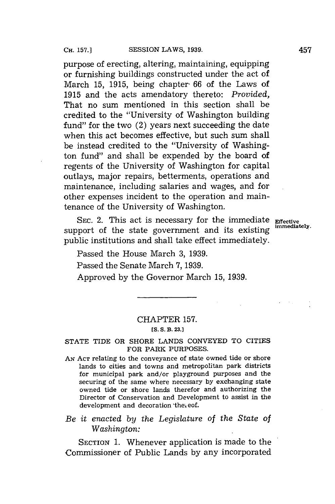purpose of erecting, altering, maintaining, equipping or furnishing buildings constructed under the act of March **15, 1915,** being chapter **66** of the Laws of **1915** and the acts amendatory thereto: *Provided,* That no sum mentioned in this section shall be credited to the "University of Washington building fund" for the two (2) years next succeeding the date when this act becomes effective, but such sum shall be instead credited to the "University of Washington fund" and shall be expended **by** the board of regents of the University of Washington for capital outlays, major repairs, betterments, operations and maintenance, including salaries and wages, and for other expenses incident to the operation and maintenance of the University of Washington.

SEC. 2. This act is necessary for the immediate **Effective** support of the state government and its existing public institutions and shall take effect immediately.

Passed the House March **3, 1939.**

Passed the Senate March **7, 1939.**

Approved **by** the Governor March **15, 1939.**

### CHAPTER **157. [S. S. B. 23.]**

## **STATE** TIDE OR SHORE **LANDS CONVEYED** TO CITIES FOR PARK **PURPOSES.**

**AN ACT** relating to the conveyance of state owned tide or shore lands to cities and towns and metropolitan park districts for municipal park and/or playground purposes and the securing of the same where necessary **by** exchanging state owned tide or shore lands therefor and authorizing the Director of Conservation and Development to assist in the development and decoration 'the eof.

# *Be it enacted by the Legislature of the State of Washington:*

SECTION **1.** Whenever application is made to the Commissioner of Public Lands **by** any incorporated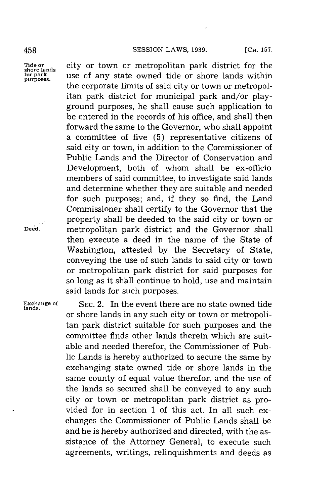**for park**<br>purposes.

**Tide or** city or town or metropolitan park district for the **shore lands** use of any state owned tide or shore lands within the corporate limits of said city or town or metropolitan park district for municipal park and/or playground purposes, he shall cause such application to be entered in the records of his office, and shall then forward the same to the Governor, who shall appoint a committee of five **(5)** representative citizens of said city or town, in addition to the Commissioner of Public Lands and the Director of Conservation and Development, both of whom shall be ex-officio members of said committee, to investigate said lands and determine whether they are suitable and needed for such purposes; and, if they so find, the Land Commissioner shall certify to the Governor that the property shall be deeded to the said city or town or **Deed.** metropolitan park district and the Governor shall then execute a deed in the name of the State of Washington, attested **by** the Secretary of State, conveying the use of such lands to said city or town or metropolitan park district for said purposes for so long as it shall continue to hold, use and maintain said lands for such purposes.

**Exchange of SEC.** 2. In the event there are no state owned tide **lands.** or shore lands in any such city or town or metropolitan park district suitable for such purposes and the committee finds other lands therein which are suitable and needed therefor, the Commissioner of Public Lands is hereby authorized to secure the same **by** exchanging state owned tide or shore lands in the same county of equal value therefor, and the use of the lands so secured shall be conveyed to any such city or town or metropolitan park district as provided for in section **1** of this act. In all such exchanges the Commissioner of Public Lands shall be and he is hereby authorized and directed, with the assistance of the Attorney General, to execute such agreements, writings, relinquishments and deeds as